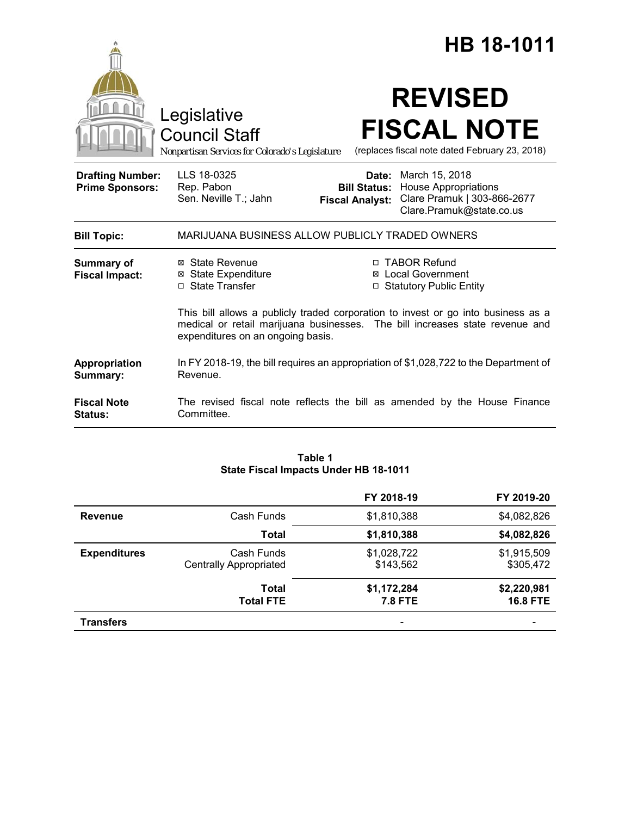|                                                   |                                                                                                                                                                                                        |                     | HB 18-1011                                                                                                            |
|---------------------------------------------------|--------------------------------------------------------------------------------------------------------------------------------------------------------------------------------------------------------|---------------------|-----------------------------------------------------------------------------------------------------------------------|
|                                                   | Legislative<br><b>Council Staff</b><br>Nonpartisan Services for Colorado's Legislature                                                                                                                 |                     | <b>REVISED</b><br><b>FISCAL NOTE</b><br>(replaces fiscal note dated February 23, 2018)                                |
| <b>Drafting Number:</b><br><b>Prime Sponsors:</b> | LLS 18-0325<br>Rep. Pabon<br>Sen. Neville T.; Jahn<br><b>Fiscal Analyst:</b>                                                                                                                           | <b>Bill Status:</b> | <b>Date:</b> March 15, 2018<br><b>House Appropriations</b><br>Clare Pramuk   303-866-2677<br>Clare.Pramuk@state.co.us |
| <b>Bill Topic:</b>                                | MARIJUANA BUSINESS ALLOW PUBLICLY TRADED OWNERS                                                                                                                                                        |                     |                                                                                                                       |
| <b>Summary of</b><br><b>Fiscal Impact:</b>        | ⊠ State Revenue<br><b>⊠ State Expenditure</b><br>□ State Transfer                                                                                                                                      | □                   | □ TABOR Refund<br>⊠ Local Government<br><b>Statutory Public Entity</b>                                                |
|                                                   | This bill allows a publicly traded corporation to invest or go into business as a<br>medical or retail marijuana businesses. The bill increases state revenue and<br>expenditures on an ongoing basis. |                     |                                                                                                                       |
| Appropriation<br>Summary:                         | In FY 2018-19, the bill requires an appropriation of \$1,028,722 to the Department of<br>Revenue.                                                                                                      |                     |                                                                                                                       |
| <b>Fiscal Note</b><br>Status:                     | The revised fiscal note reflects the bill as amended by the House Finance<br>Committee.                                                                                                                |                     |                                                                                                                       |

## **Table 1 State Fiscal Impacts Under HB 18-1011**

|                     |                                             | FY 2018-19                    | FY 2019-20                     |
|---------------------|---------------------------------------------|-------------------------------|--------------------------------|
| <b>Revenue</b>      | Cash Funds                                  | \$1,810,388                   | \$4,082,826                    |
|                     | <b>Total</b>                                | \$1,810,388                   | \$4,082,826                    |
| <b>Expenditures</b> | Cash Funds<br><b>Centrally Appropriated</b> | \$1,028,722<br>\$143,562      | \$1,915,509<br>\$305,472       |
|                     | <b>Total</b><br><b>Total FTE</b>            | \$1,172,284<br><b>7.8 FTE</b> | \$2,220,981<br><b>16.8 FTE</b> |
| <b>Transfers</b>    |                                             |                               |                                |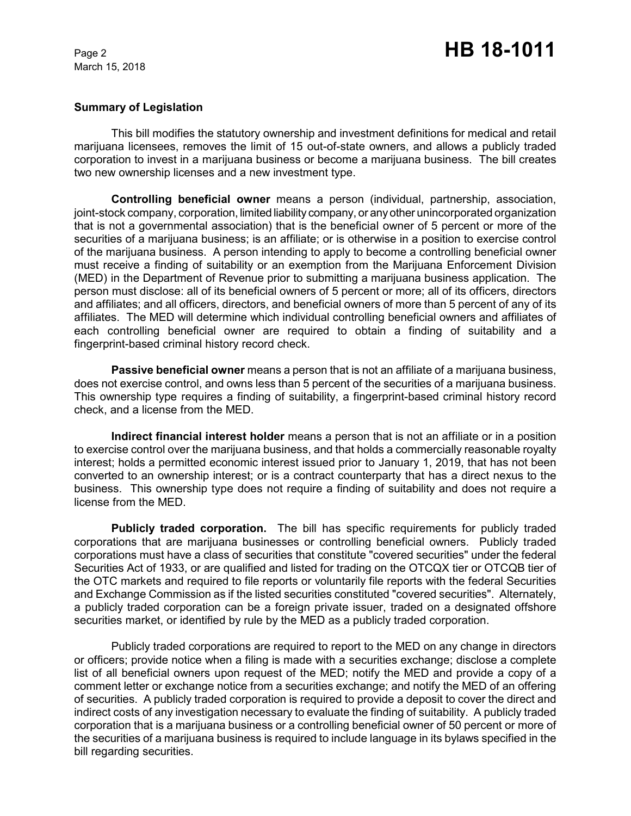## **Summary of Legislation**

This bill modifies the statutory ownership and investment definitions for medical and retail marijuana licensees, removes the limit of 15 out-of-state owners, and allows a publicly traded corporation to invest in a marijuana business or become a marijuana business. The bill creates two new ownership licenses and a new investment type.

**Controlling beneficial owner** means a person (individual, partnership, association, joint-stock company, corporation, limited liability company, or any other unincorporated organization that is not a governmental association) that is the beneficial owner of 5 percent or more of the securities of a marijuana business; is an affiliate; or is otherwise in a position to exercise control of the marijuana business. A person intending to apply to become a controlling beneficial owner must receive a finding of suitability or an exemption from the Marijuana Enforcement Division (MED) in the Department of Revenue prior to submitting a marijuana business application. The person must disclose: all of its beneficial owners of 5 percent or more; all of its officers, directors and affiliates; and all officers, directors, and beneficial owners of more than 5 percent of any of its affiliates. The MED will determine which individual controlling beneficial owners and affiliates of each controlling beneficial owner are required to obtain a finding of suitability and a fingerprint-based criminal history record check.

**Passive beneficial owner** means a person that is not an affiliate of a marijuana business, does not exercise control, and owns less than 5 percent of the securities of a marijuana business. This ownership type requires a finding of suitability, a fingerprint-based criminal history record check, and a license from the MED.

**Indirect financial interest holder** means a person that is not an affiliate or in a position to exercise control over the marijuana business, and that holds a commercially reasonable royalty interest; holds a permitted economic interest issued prior to January 1, 2019, that has not been converted to an ownership interest; or is a contract counterparty that has a direct nexus to the business. This ownership type does not require a finding of suitability and does not require a license from the MED.

**Publicly traded corporation.** The bill has specific requirements for publicly traded corporations that are marijuana businesses or controlling beneficial owners. Publicly traded corporations must have a class of securities that constitute "covered securities" under the federal Securities Act of 1933, or are qualified and listed for trading on the OTCQX tier or OTCQB tier of the OTC markets and required to file reports or voluntarily file reports with the federal Securities and Exchange Commission as if the listed securities constituted "covered securities". Alternately, a publicly traded corporation can be a foreign private issuer, traded on a designated offshore securities market, or identified by rule by the MED as a publicly traded corporation.

Publicly traded corporations are required to report to the MED on any change in directors or officers; provide notice when a filing is made with a securities exchange; disclose a complete list of all beneficial owners upon request of the MED; notify the MED and provide a copy of a comment letter or exchange notice from a securities exchange; and notify the MED of an offering of securities. A publicly traded corporation is required to provide a deposit to cover the direct and indirect costs of any investigation necessary to evaluate the finding of suitability. A publicly traded corporation that is a marijuana business or a controlling beneficial owner of 50 percent or more of the securities of a marijuana business is required to include language in its bylaws specified in the bill regarding securities.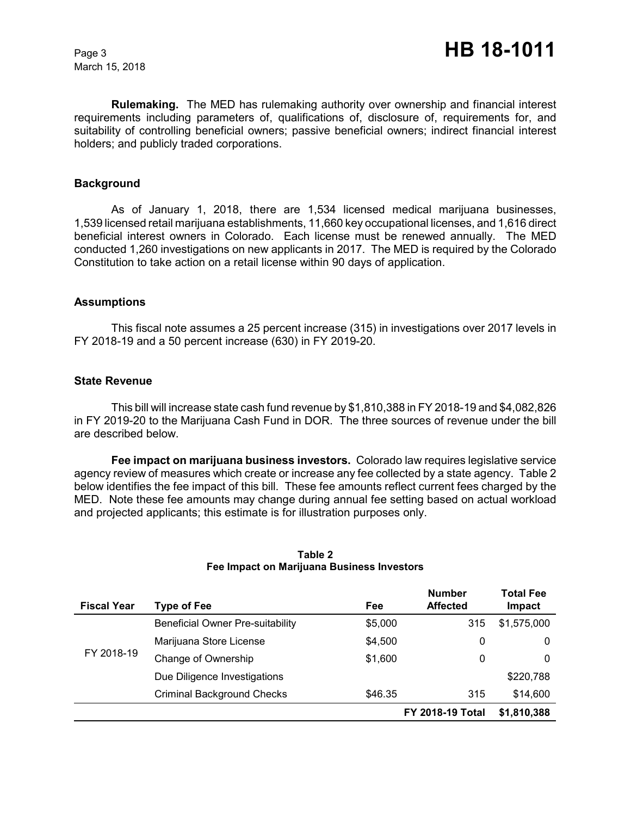**Rulemaking.** The MED has rulemaking authority over ownership and financial interest requirements including parameters of, qualifications of, disclosure of, requirements for, and suitability of controlling beneficial owners; passive beneficial owners; indirect financial interest holders; and publicly traded corporations.

## **Background**

As of January 1, 2018, there are 1,534 licensed medical marijuana businesses, 1,539 licensed retail marijuana establishments, 11,660 key occupational licenses, and 1,616 direct beneficial interest owners in Colorado. Each license must be renewed annually. The MED conducted 1,260 investigations on new applicants in 2017. The MED is required by the Colorado Constitution to take action on a retail license within 90 days of application.

## **Assumptions**

This fiscal note assumes a 25 percent increase (315) in investigations over 2017 levels in FY 2018-19 and a 50 percent increase (630) in FY 2019-20.

#### **State Revenue**

This bill will increase state cash fund revenue by \$1,810,388 in FY 2018-19 and \$4,082,826 in FY 2019-20 to the Marijuana Cash Fund in DOR. The three sources of revenue under the bill are described below.

**Fee impact on marijuana business investors.** Colorado law requires legislative service agency review of measures which create or increase any fee collected by a state agency. Table 2 below identifies the fee impact of this bill. These fee amounts reflect current fees charged by the MED. Note these fee amounts may change during annual fee setting based on actual workload and projected applicants; this estimate is for illustration purposes only.

| <b>Fiscal Year</b> | Type of Fee                             | Fee     | <b>Number</b><br><b>Affected</b> | Total Fee<br>Impact |
|--------------------|-----------------------------------------|---------|----------------------------------|---------------------|
|                    | <b>Beneficial Owner Pre-suitability</b> | \$5,000 | 315                              | \$1,575,000         |
|                    | Marijuana Store License                 | \$4,500 | 0                                | 0                   |
| FY 2018-19         | Change of Ownership                     | \$1,600 | 0                                | 0                   |
|                    | Due Diligence Investigations            |         |                                  | \$220,788           |
|                    | <b>Criminal Background Checks</b>       | \$46.35 | 315                              | \$14,600            |
|                    |                                         |         | <b>FY 2018-19 Total</b>          | \$1,810,388         |

## **Table 2 Fee Impact on Marijuana Business Investors**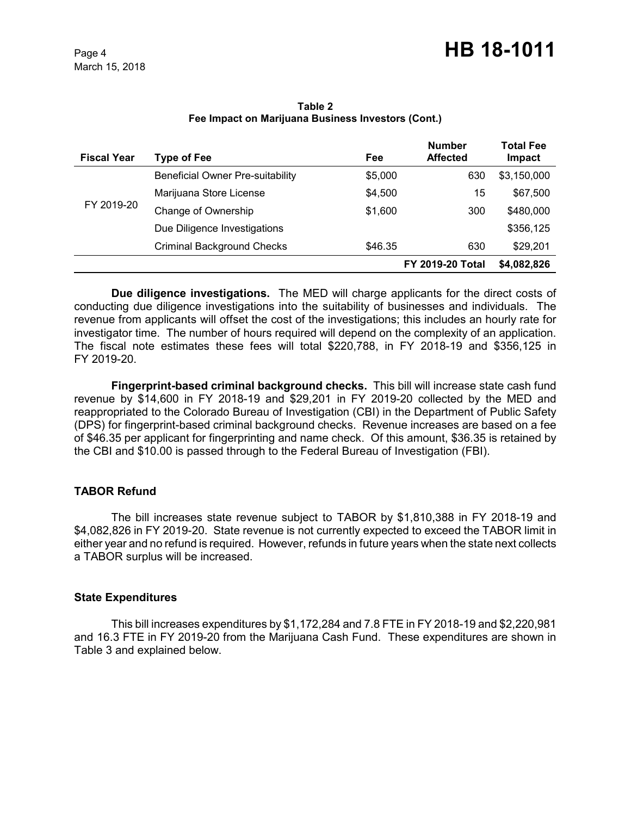**Table 2 Fee Impact on Marijuana Business Investors (Cont.)**

| <b>Fiscal Year</b> | Type of Fee                       | Fee     | <b>Number</b><br><b>Affected</b> | <b>Total Fee</b><br><b>Impact</b> |
|--------------------|-----------------------------------|---------|----------------------------------|-----------------------------------|
|                    | Beneficial Owner Pre-suitability  | \$5,000 | 630                              | \$3,150,000                       |
|                    | Marijuana Store License           | \$4,500 | 15                               | \$67,500                          |
| FY 2019-20         | Change of Ownership               | \$1,600 | 300                              | \$480,000                         |
|                    | Due Diligence Investigations      |         |                                  | \$356,125                         |
|                    | <b>Criminal Background Checks</b> | \$46.35 | 630                              | \$29,201                          |
|                    |                                   |         | <b>FY 2019-20 Total</b>          | \$4,082,826                       |

**Due diligence investigations.** The MED will charge applicants for the direct costs of conducting due diligence investigations into the suitability of businesses and individuals. The revenue from applicants will offset the cost of the investigations; this includes an hourly rate for investigator time. The number of hours required will depend on the complexity of an application. The fiscal note estimates these fees will total \$220,788, in FY 2018-19 and \$356,125 in FY 2019-20.

**Fingerprint-based criminal background checks.** This bill will increase state cash fund revenue by \$14,600 in FY 2018-19 and \$29,201 in FY 2019-20 collected by the MED and reappropriated to the Colorado Bureau of Investigation (CBI) in the Department of Public Safety (DPS) for fingerprint-based criminal background checks. Revenue increases are based on a fee of \$46.35 per applicant for fingerprinting and name check. Of this amount, \$36.35 is retained by the CBI and \$10.00 is passed through to the Federal Bureau of Investigation (FBI).

# **TABOR Refund**

The bill increases state revenue subject to TABOR by \$1,810,388 in FY 2018-19 and \$4,082,826 in FY 2019-20. State revenue is not currently expected to exceed the TABOR limit in either year and no refund is required. However, refunds in future years when the state next collects a TABOR surplus will be increased.

# **State Expenditures**

This bill increases expenditures by \$1,172,284 and 7.8 FTE in FY 2018-19 and \$2,220,981 and 16.3 FTE in FY 2019-20 from the Marijuana Cash Fund. These expenditures are shown in Table 3 and explained below.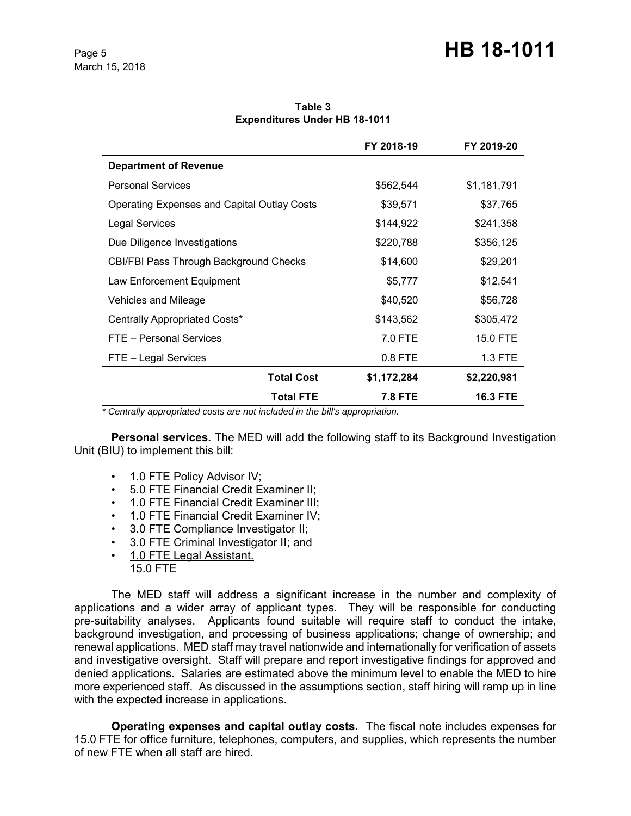# Page 5 **HB 18-1011**

**Table 3 Expenditures Under HB 18-1011**

|                                                    | FY 2018-19  | FY 2019-20      |
|----------------------------------------------------|-------------|-----------------|
| <b>Department of Revenue</b>                       |             |                 |
| <b>Personal Services</b>                           | \$562,544   | \$1,181,791     |
| <b>Operating Expenses and Capital Outlay Costs</b> | \$39,571    | \$37,765        |
| <b>Legal Services</b>                              | \$144,922   | \$241,358       |
| Due Diligence Investigations                       | \$220,788   | \$356,125       |
| CBI/FBI Pass Through Background Checks             | \$14,600    | \$29,201        |
| Law Enforcement Equipment                          | \$5,777     | \$12,541        |
| Vehicles and Mileage                               | \$40,520    | \$56,728        |
| Centrally Appropriated Costs*                      | \$143,562   | \$305,472       |
| FTE - Personal Services                            | 7.0 FTE     | 15.0 FTE        |
| FTE - Legal Services                               | $0.8$ FTE   | $1.3$ FTE       |
| <b>Total Cost</b>                                  | \$1,172,284 | \$2,220,981     |
| Total FTE                                          | 7.8 FTE     | <b>16.3 FTE</b> |

 *\* Centrally appropriated costs are not included in the bill's appropriation.*

**Personal services.** The MED will add the following staff to its Background Investigation Unit (BIU) to implement this bill:

- 1.0 FTE Policy Advisor IV;
- 5.0 FTE Financial Credit Examiner II;
- 1.0 FTE Financial Credit Examiner III;
- 1.0 FTE Financial Credit Examiner IV;
- 3.0 FTE Compliance Investigator II;
- 3.0 FTE Criminal Investigator II; and
- 1.0 FTE Legal Assistant. 15.0 FTE

The MED staff will address a significant increase in the number and complexity of applications and a wider array of applicant types. They will be responsible for conducting pre-suitability analyses. Applicants found suitable will require staff to conduct the intake, background investigation, and processing of business applications; change of ownership; and renewal applications. MED staff may travel nationwide and internationally for verification of assets and investigative oversight. Staff will prepare and report investigative findings for approved and denied applications. Salaries are estimated above the minimum level to enable the MED to hire more experienced staff. As discussed in the assumptions section, staff hiring will ramp up in line with the expected increase in applications.

**Operating expenses and capital outlay costs.** The fiscal note includes expenses for 15.0 FTE for office furniture, telephones, computers, and supplies, which represents the number of new FTE when all staff are hired.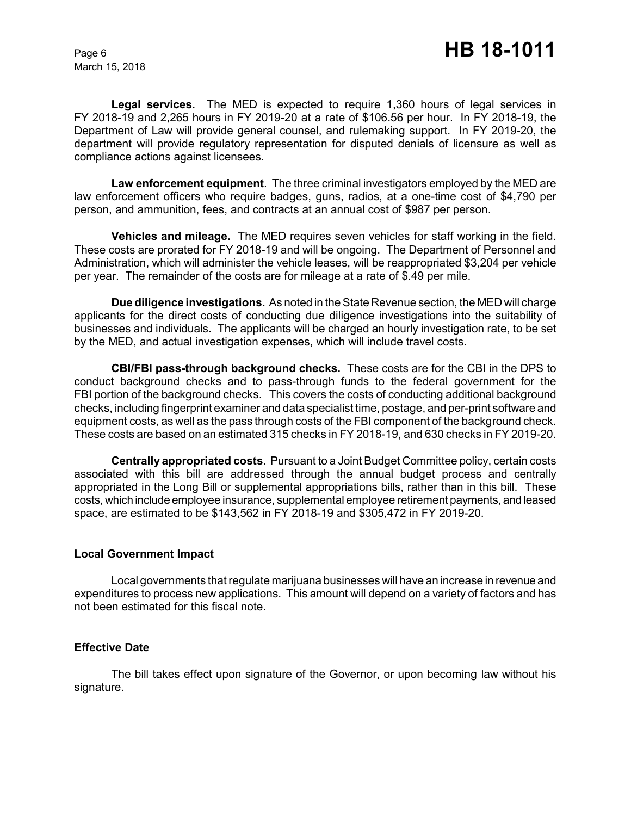**Legal services.**The MED is expected to require 1,360 hours of legal services in FY 2018-19 and 2,265 hours in FY 2019-20 at a rate of \$106.56 per hour. In FY 2018-19, the Department of Law will provide general counsel, and rulemaking support. In FY 2019-20, the department will provide regulatory representation for disputed denials of licensure as well as compliance actions against licensees.

**Law enforcement equipment**. The three criminal investigators employed by the MED are law enforcement officers who require badges, guns, radios, at a one-time cost of \$4,790 per person, and ammunition, fees, and contracts at an annual cost of \$987 per person.

**Vehicles and mileage.**The MED requires seven vehicles for staff working in the field. These costs are prorated for FY 2018-19 and will be ongoing. The Department of Personnel and Administration, which will administer the vehicle leases, will be reappropriated \$3,204 per vehicle per year. The remainder of the costs are for mileage at a rate of \$.49 per mile.

**Due diligence investigations.** As noted in the State Revenue section, the MED will charge applicants for the direct costs of conducting due diligence investigations into the suitability of businesses and individuals. The applicants will be charged an hourly investigation rate, to be set by the MED, and actual investigation expenses, which will include travel costs.

**CBI/FBI pass-through background checks.** These costs are for the CBI in the DPS to conduct background checks and to pass-through funds to the federal government for the FBI portion of the background checks. This covers the costs of conducting additional background checks, including fingerprint examiner and data specialist time, postage, and per-print software and equipment costs, as well as the pass through costs of the FBI component of the background check. These costs are based on an estimated 315 checks in FY 2018-19, and 630 checks in FY 2019-20.

**Centrally appropriated costs.** Pursuant to a Joint Budget Committee policy, certain costs associated with this bill are addressed through the annual budget process and centrally appropriated in the Long Bill or supplemental appropriations bills, rather than in this bill. These costs, which include employee insurance, supplemental employee retirement payments, and leased space, are estimated to be \$143,562 in FY 2018-19 and \$305,472 in FY 2019-20.

## **Local Government Impact**

Local governments that regulate marijuana businesses will have an increase in revenue and expenditures to process new applications. This amount will depend on a variety of factors and has not been estimated for this fiscal note.

## **Effective Date**

The bill takes effect upon signature of the Governor, or upon becoming law without his signature.